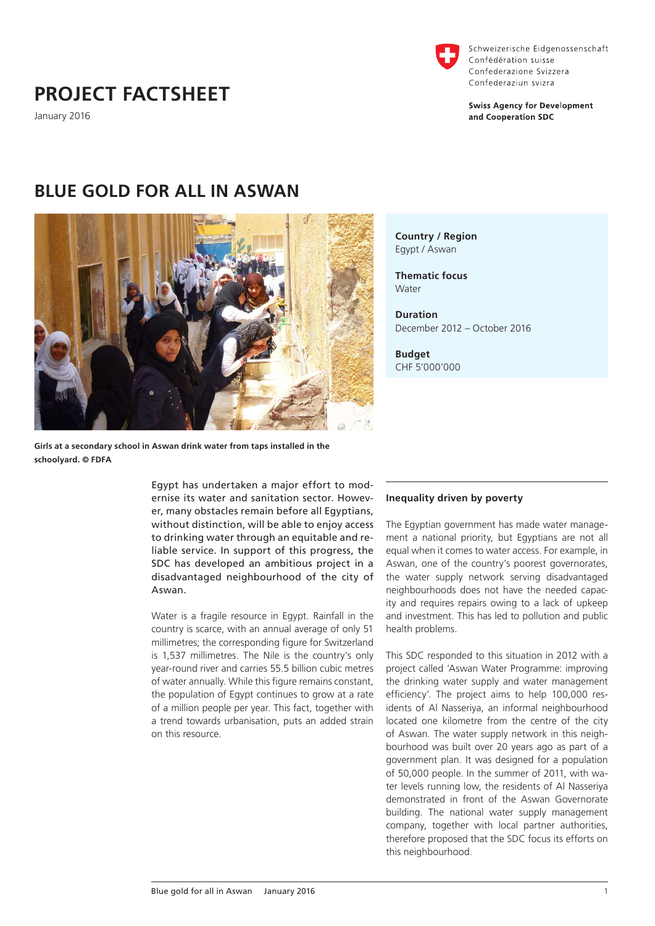

Schweizerische Eidgenossenschaft Confédération suisse Confederazione Svizzera Confederaziun svizra

**Swiss Agency for Development** and Cooperation SDC

# **PROJECT FACTSHEET**

January 2016

# **BLUE GOLD FOR ALL IN ASWAN**



**Girls at a secondary school in Aswan drink water from taps installed in the schoolyard. © FDFA**

> Egypt has undertaken a major effort to modernise its water and sanitation sector. However, many obstacles remain before all Egyptians, without distinction, will be able to enjoy access to drinking water through an equitable and reliable service. In support of this progress, the SDC has developed an ambitious project in a disadvantaged neighbourhood of the city of Aswan.

> Water is a fragile resource in Egypt. Rainfall in the country is scarce, with an annual average of only 51 millimetres; the corresponding figure for Switzerland is 1,537 millimetres. The Nile is the country's only year-round river and carries 55.5 billion cubic metres of water annually. While this figure remains constant, the population of Egypt continues to grow at a rate of a million people per year. This fact, together with a trend towards urbanisation, puts an added strain on this resource.

# Egypt / Aswan **Thematic focus**

**Country / Region**

Water

**Duration** December 2012 – October 2016

**Budget** CHF 5'000'000

## **Inequality driven by poverty**

The Egyptian government has made water management a national priority, but Egyptians are not all equal when it comes to water access. For example, in Aswan, one of the country's poorest governorates, the water supply network serving disadvantaged neighbourhoods does not have the needed capacity and requires repairs owing to a lack of upkeep and investment. This has led to pollution and public health problems.

This SDC responded to this situation in 2012 with a project called 'Aswan Water Programme: improving the drinking water supply and water management efficiency'. The project aims to help 100,000 residents of Al Nasseriya, an informal neighbourhood located one kilometre from the centre of the city of Aswan. The water supply network in this neighbourhood was built over 20 years ago as part of a government plan. It was designed for a population of 50,000 people. In the summer of 2011, with water levels running low, the residents of Al Nasseriya demonstrated in front of the Aswan Governorate building. The national water supply management company, together with local partner authorities, therefore proposed that the SDC focus its efforts on this neighbourhood.